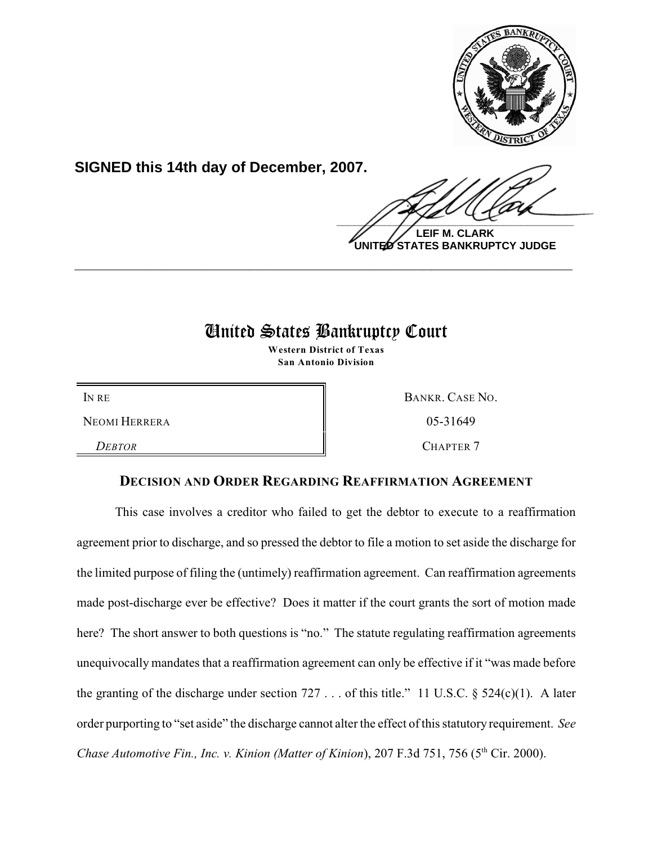

**SIGNED this 14th day of December, 2007.**

 $\frac{1}{2}$ 

**LEIF M. CLARK UNITED STATES BANKRUPTCY JUDGE**

# United States Bankruptcy Court

**\_\_\_\_\_\_\_\_\_\_\_\_\_\_\_\_\_\_\_\_\_\_\_\_\_\_\_\_\_\_\_\_\_\_\_\_\_\_\_\_\_\_\_\_\_\_\_\_\_\_\_\_\_\_\_\_\_\_\_\_**

**Western District of Texas San Antonio Division**

NEOMI HERRERA 8 8 05-31649

**DEBTOR** CHAPTER 7

IN RE BANKR. CASE NO.

## **DECISION AND ORDER REGARDING REAFFIRMATION AGREEMENT**

This case involves a creditor who failed to get the debtor to execute to a reaffirmation agreement prior to discharge, and so pressed the debtor to file a motion to set aside the discharge for the limited purpose of filing the (untimely) reaffirmation agreement. Can reaffirmation agreements made post-discharge ever be effective? Does it matter if the court grants the sort of motion made here? The short answer to both questions is "no." The statute regulating reaffirmation agreements unequivocally mandates that a reaffirmation agreement can only be effective if it "was made before the granting of the discharge under section  $727...$  of this title." 11 U.S.C. §  $524(c)(1)$ . A later order purporting to "set aside" the discharge cannot alter the effect of this statutory requirement. *See Chase Automotive Fin., Inc. v. Kinion (Matter of Kinion), 207 F.3d 751, 756 (5<sup>th</sup> Cir. 2000).*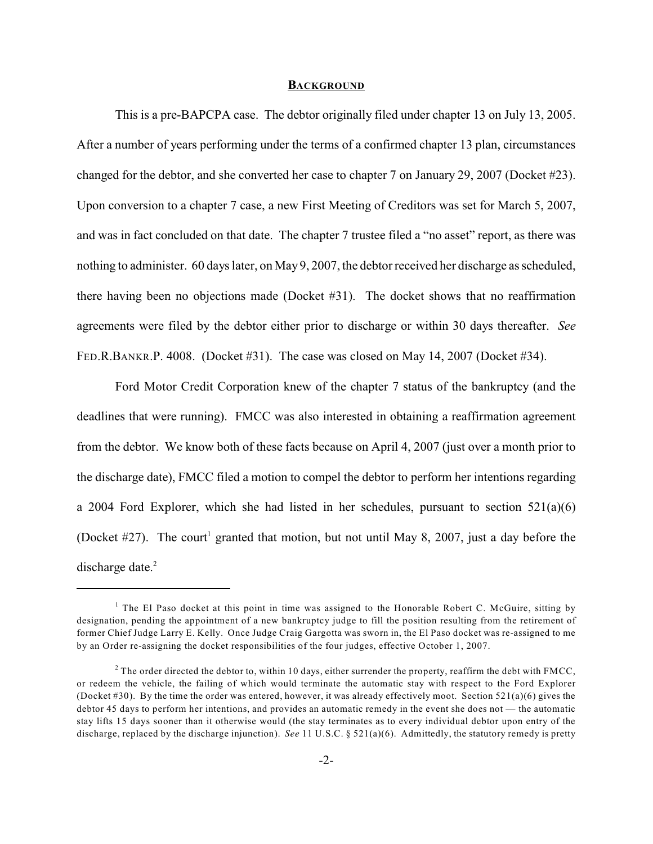#### **BACKGROUND**

This is a pre-BAPCPA case. The debtor originally filed under chapter 13 on July 13, 2005. After a number of years performing under the terms of a confirmed chapter 13 plan, circumstances changed for the debtor, and she converted her case to chapter 7 on January 29, 2007 (Docket #23). Upon conversion to a chapter 7 case, a new First Meeting of Creditors was set for March 5, 2007, and was in fact concluded on that date. The chapter 7 trustee filed a "no asset" report, as there was nothing to administer. 60 days later, on May 9, 2007, the debtor received her discharge as scheduled, there having been no objections made (Docket #31). The docket shows that no reaffirmation agreements were filed by the debtor either prior to discharge or within 30 days thereafter. *See* FED.R.BANKR.P. 4008. (Docket #31). The case was closed on May 14, 2007 (Docket #34).

Ford Motor Credit Corporation knew of the chapter 7 status of the bankruptcy (and the deadlines that were running). FMCC was also interested in obtaining a reaffirmation agreement from the debtor. We know both of these facts because on April 4, 2007 (just over a month prior to the discharge date), FMCC filed a motion to compel the debtor to perform her intentions regarding a 2004 Ford Explorer, which she had listed in her schedules, pursuant to section  $521(a)(6)$ (Docket  $\#27$ ). The court<sup>1</sup> granted that motion, but not until May 8, 2007, just a day before the discharge date.<sup>2</sup>

<sup>&</sup>lt;sup>1</sup> The El Paso docket at this point in time was assigned to the Honorable Robert C. McGuire, sitting by designation, pending the appointment of a new bankruptcy judge to fill the position resulting from the retirement of former Chief Judge Larry E. Kelly. Once Judge Craig Gargotta was sworn in, the El Paso docket was re-assigned to me by an Order re-assigning the docket responsibilities of the four judges, effective October 1, 2007.

<sup>&</sup>lt;sup>2</sup> The order directed the debtor to, within 10 days, either surrender the property, reaffirm the debt with FMCC, or redeem the vehicle, the failing of which would terminate the automatic stay with respect to the Ford Explorer (Docket #30). By the time the order was entered, however, it was already effectively moot. Section  $521(a)(6)$  gives the debtor 45 days to perform her intentions, and provides an automatic remedy in the event she does not — the automatic stay lifts 15 days sooner than it otherwise would (the stay terminates as to every individual debtor upon entry of the discharge, replaced by the discharge injunction). *See* 11 U.S.C. § 521(a)(6). Admittedly, the statutory remedy is pretty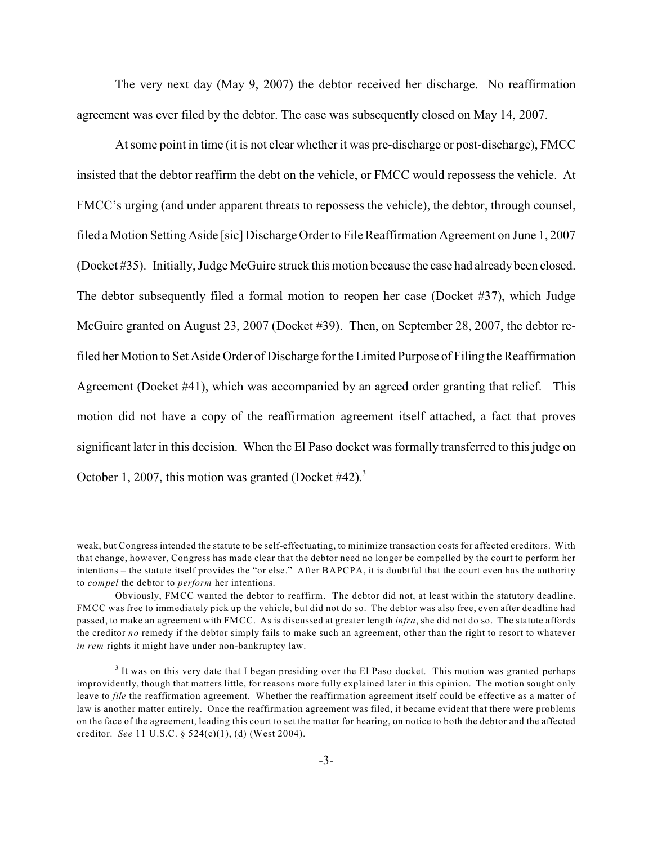The very next day (May 9, 2007) the debtor received her discharge. No reaffirmation agreement was ever filed by the debtor. The case was subsequently closed on May 14, 2007.

At some point in time (it is not clear whether it was pre-discharge or post-discharge), FMCC insisted that the debtor reaffirm the debt on the vehicle, or FMCC would repossess the vehicle. At FMCC's urging (and under apparent threats to repossess the vehicle), the debtor, through counsel, filed a Motion Setting Aside [sic] Discharge Order to File Reaffirmation Agreement on June 1, 2007 (Docket #35). Initially, Judge McGuire struck this motion because the case had already been closed. The debtor subsequently filed a formal motion to reopen her case (Docket #37), which Judge McGuire granted on August 23, 2007 (Docket #39). Then, on September 28, 2007, the debtor refiled her Motion to Set Aside Order of Discharge for the Limited Purpose of Filing the Reaffirmation Agreement (Docket #41), which was accompanied by an agreed order granting that relief. This motion did not have a copy of the reaffirmation agreement itself attached, a fact that proves significant later in this decision. When the El Paso docket was formally transferred to this judge on October 1, 2007, this motion was granted (Docket  $#42$ ).<sup>3</sup>

weak, but Congress intended the statute to be self-effectuating, to minimize transaction costs for affected creditors. With that change, however, Congress has made clear that the debtor need no longer be compelled by the court to perform her intentions – the statute itself provides the "or else." After BAPCPA, it is doubtful that the court even has the authority to *compel* the debtor to *perform* her intentions.

Obviously, FMCC wanted the debtor to reaffirm. The debtor did not, at least within the statutory deadline. FMCC was free to immediately pick up the vehicle, but did not do so. The debtor was also free, even after deadline had passed, to make an agreement with FMCC. As is discussed at greater length *infra*, she did not do so. The statute affords the creditor *no* remedy if the debtor simply fails to make such an agreement, other than the right to resort to whatever *in rem* rights it might have under non-bankruptcy law.

 $3$  It was on this very date that I began presiding over the El Paso docket. This motion was granted perhaps improvidently, though that matters little, for reasons more fully explained later in this opinion. The motion sought only leave to *file* the reaffirmation agreement. Whether the reaffirmation agreement itself could be effective as a matter of law is another matter entirely. Once the reaffirmation agreement was filed, it became evident that there were problems on the face of the agreement, leading this court to set the matter for hearing, on notice to both the debtor and the affected creditor. *See* 11 U.S.C. § 524(c)(1), (d) (West 2004).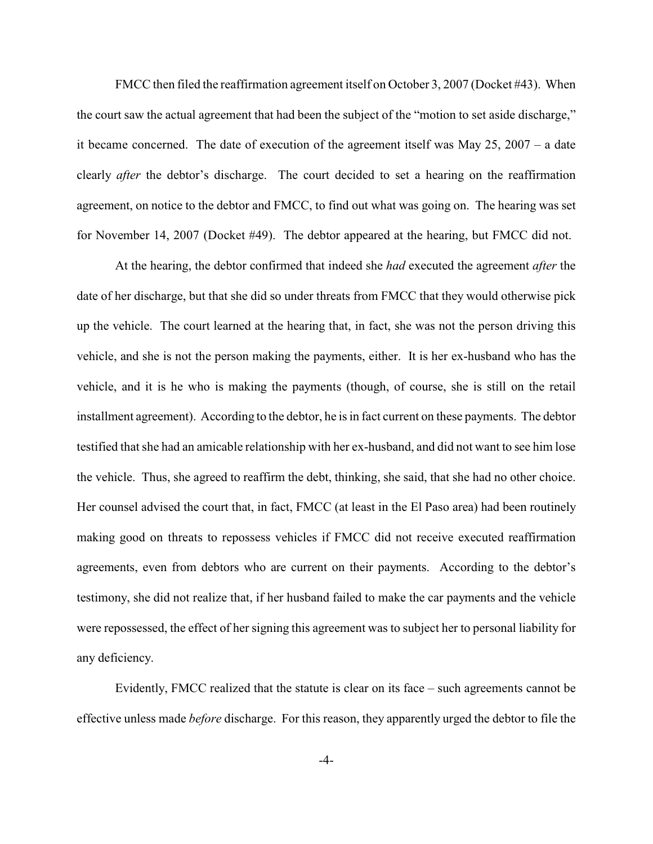FMCC then filed the reaffirmation agreement itself on October 3, 2007 (Docket #43). When the court saw the actual agreement that had been the subject of the "motion to set aside discharge," it became concerned. The date of execution of the agreement itself was May 25, 2007 – a date clearly *after* the debtor's discharge. The court decided to set a hearing on the reaffirmation agreement, on notice to the debtor and FMCC, to find out what was going on. The hearing was set for November 14, 2007 (Docket #49). The debtor appeared at the hearing, but FMCC did not.

At the hearing, the debtor confirmed that indeed she *had* executed the agreement *after* the date of her discharge, but that she did so under threats from FMCC that they would otherwise pick up the vehicle. The court learned at the hearing that, in fact, she was not the person driving this vehicle, and she is not the person making the payments, either. It is her ex-husband who has the vehicle, and it is he who is making the payments (though, of course, she is still on the retail installment agreement). According to the debtor, he is in fact current on these payments. The debtor testified that she had an amicable relationship with her ex-husband, and did not want to see him lose the vehicle. Thus, she agreed to reaffirm the debt, thinking, she said, that she had no other choice. Her counsel advised the court that, in fact, FMCC (at least in the El Paso area) had been routinely making good on threats to repossess vehicles if FMCC did not receive executed reaffirmation agreements, even from debtors who are current on their payments. According to the debtor's testimony, she did not realize that, if her husband failed to make the car payments and the vehicle were repossessed, the effect of her signing this agreement was to subject her to personal liability for any deficiency.

Evidently, FMCC realized that the statute is clear on its face – such agreements cannot be effective unless made *before* discharge. For this reason, they apparently urged the debtor to file the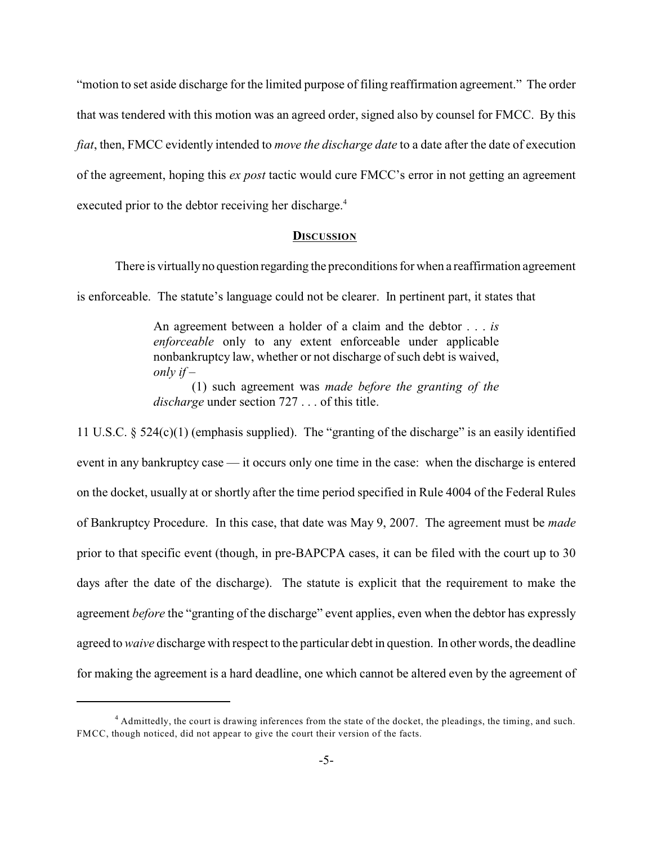"motion to set aside discharge for the limited purpose of filing reaffirmation agreement." The order that was tendered with this motion was an agreed order, signed also by counsel for FMCC. By this *fiat*, then, FMCC evidently intended to *move the discharge date* to a date after the date of execution of the agreement, hoping this *ex post* tactic would cure FMCC's error in not getting an agreement executed prior to the debtor receiving her discharge.<sup>4</sup>

#### **DISCUSSION**

There is virtually no question regarding the preconditions for when a reaffirmation agreement

is enforceable. The statute's language could not be clearer. In pertinent part, it states that

An agreement between a holder of a claim and the debtor . . . *is enforceable* only to any extent enforceable under applicable nonbankruptcy law, whether or not discharge of such debt is waived, *only if* –

(1) such agreement was *made before the granting of the discharge* under section 727 . . . of this title.

11 U.S.C. § 524(c)(1) (emphasis supplied). The "granting of the discharge" is an easily identified event in any bankruptcy case — it occurs only one time in the case: when the discharge is entered on the docket, usually at or shortly after the time period specified in Rule 4004 of the Federal Rules of Bankruptcy Procedure. In this case, that date was May 9, 2007. The agreement must be *made* prior to that specific event (though, in pre-BAPCPA cases, it can be filed with the court up to 30 days after the date of the discharge). The statute is explicit that the requirement to make the agreement *before* the "granting of the discharge" event applies, even when the debtor has expressly agreed to *waive* discharge with respect to the particular debt in question. In other words, the deadline for making the agreement is a hard deadline, one which cannot be altered even by the agreement of

<sup>&</sup>lt;sup>4</sup> Admittedly, the court is drawing inferences from the state of the docket, the pleadings, the timing, and such. FMCC, though noticed, did not appear to give the court their version of the facts.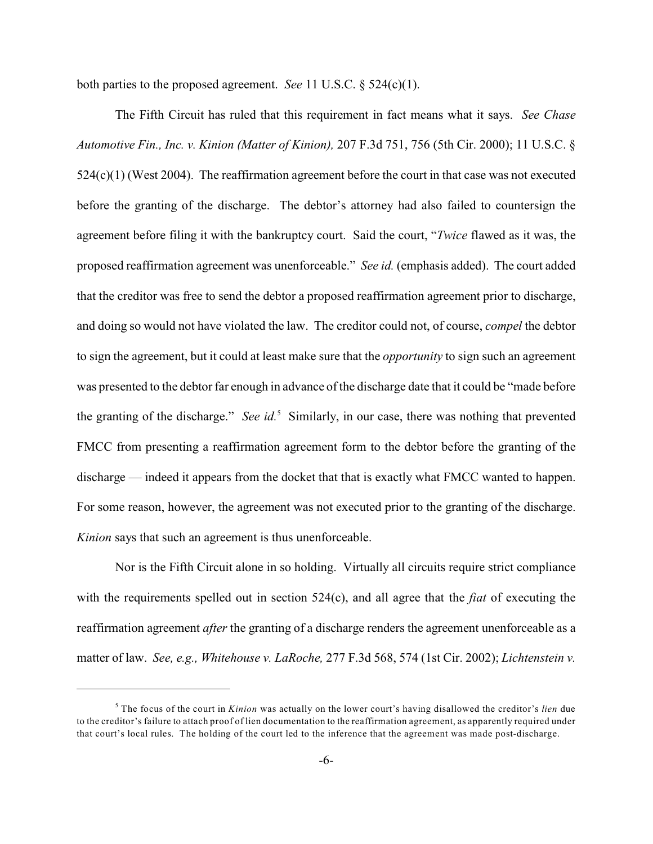both parties to the proposed agreement. *See* 11 U.S.C. § 524(c)(1).

The Fifth Circuit has ruled that this requirement in fact means what it says. *See Chase Automotive Fin., Inc. v. Kinion (Matter of Kinion),* 207 F.3d 751, 756 (5th Cir. 2000); 11 U.S.C. § 524(c)(1) (West 2004). The reaffirmation agreement before the court in that case was not executed before the granting of the discharge. The debtor's attorney had also failed to countersign the agreement before filing it with the bankruptcy court. Said the court, "*Twice* flawed as it was, the proposed reaffirmation agreement was unenforceable." *See id.* (emphasis added). The court added that the creditor was free to send the debtor a proposed reaffirmation agreement prior to discharge, and doing so would not have violated the law. The creditor could not, of course, *compel* the debtor to sign the agreement, but it could at least make sure that the *opportunity* to sign such an agreement was presented to the debtor far enough in advance of the discharge date that it could be "made before the granting of the discharge." *See id.*<sup>5</sup> Similarly, in our case, there was nothing that prevented FMCC from presenting a reaffirmation agreement form to the debtor before the granting of the discharge — indeed it appears from the docket that that is exactly what FMCC wanted to happen. For some reason, however, the agreement was not executed prior to the granting of the discharge. *Kinion* says that such an agreement is thus unenforceable.

Nor is the Fifth Circuit alone in so holding. Virtually all circuits require strict compliance with the requirements spelled out in section 524(c), and all agree that the *fiat* of executing the reaffirmation agreement *after* the granting of a discharge renders the agreement unenforceable as a matter of law. *See, e.g., Whitehouse v. LaRoche,* 277 F.3d 568, 574 (1st Cir. 2002); *Lichtenstein v.*

The focus of the court in *Kinion* was actually on the lower court's having disallowed the creditor's *lien* due <sup>5</sup> to the creditor's failure to attach proof of lien documentation to the reaffirmation agreement, as apparently required under that court's local rules. The holding of the court led to the inference that the agreement was made post-discharge.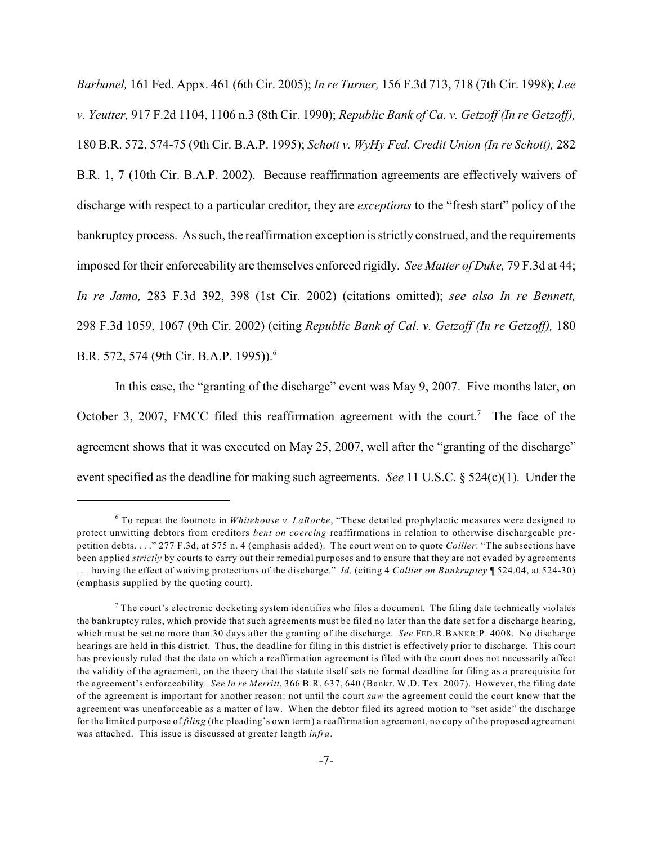*Barbanel,* 161 Fed. Appx. 461 (6th Cir. 2005); *In re Turner,* 156 F.3d 713, 718 (7th Cir. 1998); *Lee v. Yeutter,* 917 F.2d 1104, 1106 n.3 (8th Cir. 1990); *Republic Bank of Ca. v. Getzoff (In re Getzoff),* 180 B.R. 572, 574-75 (9th Cir. B.A.P. 1995); *Schott v. WyHy Fed. Credit Union (In re Schott),* 282 B.R. 1, 7 (10th Cir. B.A.P. 2002). Because reaffirmation agreements are effectively waivers of discharge with respect to a particular creditor, they are *exceptions* to the "fresh start" policy of the bankruptcy process. As such, the reaffirmation exception is strictly construed, and the requirements imposed for their enforceability are themselves enforced rigidly. *See Matter of Duke,* 79 F.3d at 44; *In re Jamo,* 283 F.3d 392, 398 (1st Cir. 2002) (citations omitted); *see also In re Bennett,* 298 F.3d 1059, 1067 (9th Cir. 2002) (citing *Republic Bank of Cal. v. Getzoff (In re Getzoff),* 180 B.R. 572, 574 (9th Cir. B.A.P. 1995)).<sup>6</sup>

In this case, the "granting of the discharge" event was May 9, 2007. Five months later, on October 3, 2007, FMCC filed this reaffirmation agreement with the court.<sup>7</sup> The face of the agreement shows that it was executed on May 25, 2007, well after the "granting of the discharge" event specified as the deadline for making such agreements. *See* 11 U.S.C. § 524(c)(1). Under the

To repeat the footnote in *Whitehouse v. LaRoche*, "These detailed prophylactic measures were designed to <sup>6</sup> protect unwitting debtors from creditors *bent on coercing* reaffirmations in relation to otherwise dischargeable prepetition debts. . . ." 277 F.3d, at 575 n. 4 (emphasis added). The court went on to quote *Collier*: "The subsections have been applied *strictly* by courts to carry out their remedial purposes and to ensure that they are not evaded by agreements . . . having the effect of waiving protections of the discharge." *Id.* (citing 4 *Collier on Bankruptcy* ¶ 524.04, at 524-30) (emphasis supplied by the quoting court).

 $^7$  The court's electronic docketing system identifies who files a document. The filing date technically violates the bankruptcy rules, which provide that such agreements must be filed no later than the date set for a discharge hearing, which must be set no more than 30 days after the granting of the discharge. *See* FED.R.BANKR.P. 4008. No discharge hearings are held in this district. Thus, the deadline for filing in this district is effectively prior to discharge. This court has previously ruled that the date on which a reaffirmation agreement is filed with the court does not necessarily affect the validity of the agreement, on the theory that the statute itself sets no formal deadline for filing as a prerequisite for the agreement's enforceability. *See In re Merritt*, 366 B.R. 637, 640 (Bankr. W.D. Tex. 2007). However, the filing date of the agreement is important for another reason: not until the court *saw* the agreement could the court know that the agreement was unenforceable as a matter of law. When the debtor filed its agreed motion to "set aside" the discharge for the limited purpose of *filing* (the pleading's own term) a reaffirmation agreement, no copy of the proposed agreement was attached. This issue is discussed at greater length *infra*.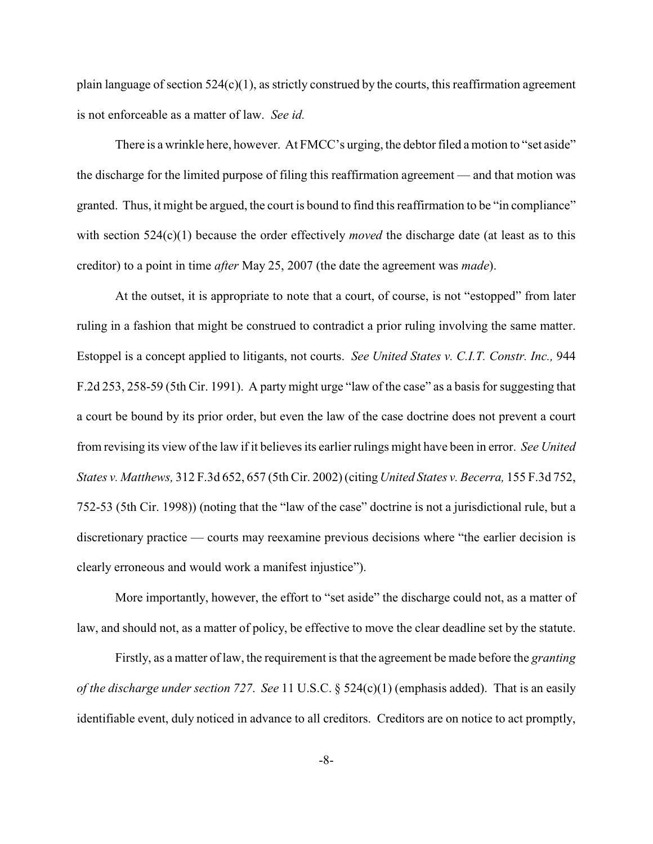plain language of section  $524(c)(1)$ , as strictly construed by the courts, this reaffirmation agreement is not enforceable as a matter of law. *See id.*

There is a wrinkle here, however. At FMCC's urging, the debtor filed a motion to "set aside" the discharge for the limited purpose of filing this reaffirmation agreement — and that motion was granted. Thus, it might be argued, the court is bound to find this reaffirmation to be "in compliance" with section 524(c)(1) because the order effectively *moved* the discharge date (at least as to this creditor) to a point in time *after* May 25, 2007 (the date the agreement was *made*).

At the outset, it is appropriate to note that a court, of course, is not "estopped" from later ruling in a fashion that might be construed to contradict a prior ruling involving the same matter. Estoppel is a concept applied to litigants, not courts. *See United States v. C.I.T. Constr. Inc.,* 944 F.2d 253, 258-59 (5th Cir. 1991). A party might urge "law of the case" as a basis for suggesting that a court be bound by its prior order, but even the law of the case doctrine does not prevent a court from revising its view of the law if it believes its earlier rulings might have been in error. *See United States v. Matthews,* 312 F.3d 652, 657 (5th Cir. 2002) (citing *United States v. Becerra,* 155 F.3d 752, 752-53 (5th Cir. 1998)) (noting that the "law of the case" doctrine is not a jurisdictional rule, but a discretionary practice — courts may reexamine previous decisions where "the earlier decision is clearly erroneous and would work a manifest injustice").

More importantly, however, the effort to "set aside" the discharge could not, as a matter of law, and should not, as a matter of policy, be effective to move the clear deadline set by the statute.

Firstly, as a matter of law, the requirement is that the agreement be made before the *granting of the discharge under section 727*. *See* 11 U.S.C. § 524(c)(1) (emphasis added). That is an easily identifiable event, duly noticed in advance to all creditors. Creditors are on notice to act promptly,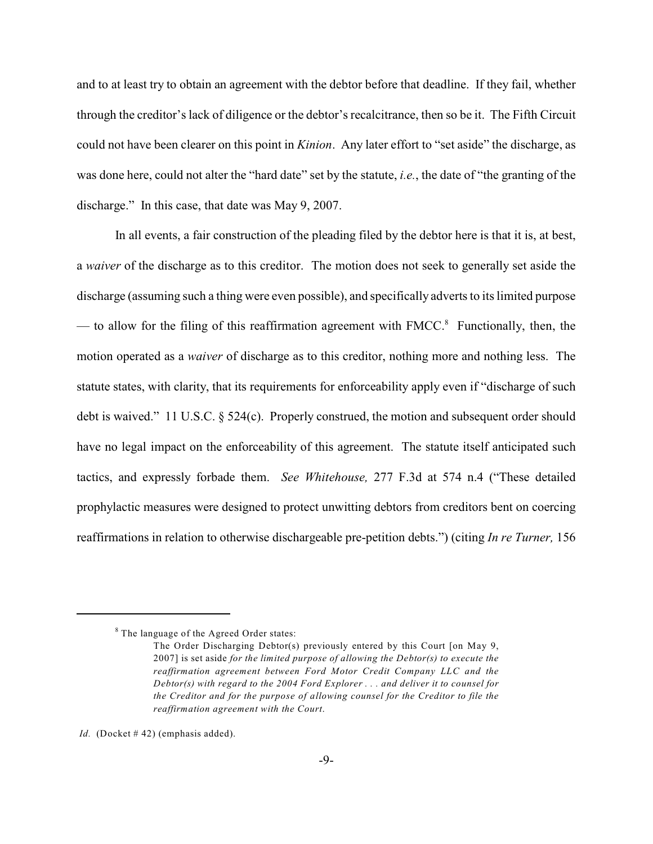and to at least try to obtain an agreement with the debtor before that deadline. If they fail, whether through the creditor'slack of diligence or the debtor's recalcitrance, then so be it. The Fifth Circuit could not have been clearer on this point in *Kinion*. Any later effort to "set aside" the discharge, as was done here, could not alter the "hard date" set by the statute, *i.e.*, the date of "the granting of the discharge." In this case, that date was May 9, 2007.

In all events, a fair construction of the pleading filed by the debtor here is that it is, at best, a *waiver* of the discharge as to this creditor. The motion does not seek to generally set aside the discharge (assuming such a thing were even possible), and specifically adverts to its limited purpose — to allow for the filing of this reaffirmation agreement with  $FMCC<sup>8</sup>$  Functionally, then, the motion operated as a *waiver* of discharge as to this creditor, nothing more and nothing less. The statute states, with clarity, that its requirements for enforceability apply even if "discharge of such debt is waived." 11 U.S.C. § 524(c). Properly construed, the motion and subsequent order should have no legal impact on the enforceability of this agreement. The statute itself anticipated such tactics, and expressly forbade them. *See Whitehouse,* 277 F.3d at 574 n.4 ("These detailed prophylactic measures were designed to protect unwitting debtors from creditors bent on coercing reaffirmations in relation to otherwise dischargeable pre-petition debts.") (citing *In re Turner,* 156

 $8$  The language of the Agreed Order states:

The Order Discharging Debtor(s) previously entered by this Court [on May 9, 2007] is set aside *for the limited purpose of allowing the Debtor(s) to execute the reaffirmation agreement between Ford Motor Credit Company LLC and the Debtor(s) with regard to the 2004 Ford Explorer . . . and deliver it to counsel for the Creditor and for the purpose of allowing counsel for the Creditor to file the reaffirmation agreement with the Court*.

*Id.* (Docket #42) (emphasis added).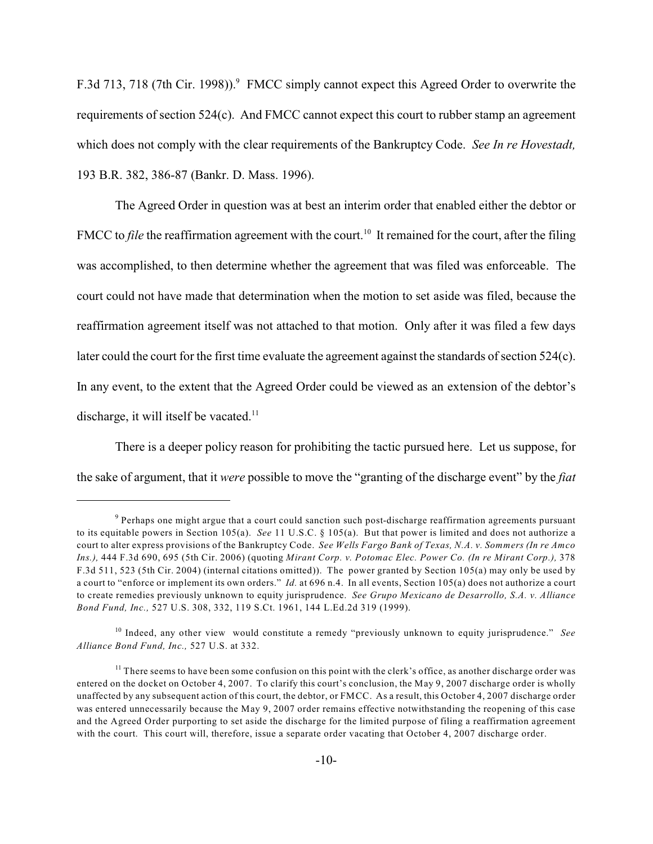F.3d 713, 718 (7th Cir. 1998)). FMCC simply cannot expect this Agreed Order to overwrite the requirements of section 524(c). And FMCC cannot expect this court to rubber stamp an agreement which does not comply with the clear requirements of the Bankruptcy Code. *See In re Hovestadt,* 193 B.R. 382, 386-87 (Bankr. D. Mass. 1996).

The Agreed Order in question was at best an interim order that enabled either the debtor or FMCC to *file* the reaffirmation agreement with the court.<sup>10</sup> It remained for the court, after the filing was accomplished, to then determine whether the agreement that was filed was enforceable. The court could not have made that determination when the motion to set aside was filed, because the reaffirmation agreement itself was not attached to that motion. Only after it was filed a few days later could the court for the first time evaluate the agreement against the standards of section 524(c). In any event, to the extent that the Agreed Order could be viewed as an extension of the debtor's discharge, it will itself be vacated.<sup>11</sup>

There is a deeper policy reason for prohibiting the tactic pursued here. Let us suppose, for the sake of argument, that it *were* possible to move the "granting of the discharge event" by the *fiat*

<sup>&</sup>lt;sup>9</sup> Perhaps one might argue that a court could sanction such post-discharge reaffirmation agreements pursuant to its equitable powers in Section 105(a). *See* 11 U.S.C. § 105(a). But that power is limited and does not authorize a court to alter express provisions of the Bankruptcy Code. *See Wells Fargo Bank of Texas, N.A. v. Sommers (In re Amco Ins.),* 444 F.3d 690, 695 (5th Cir. 2006) (quoting *Mirant Corp. v. Potomac Elec. Power Co. (In re Mirant Corp.),* 378 F.3d 511, 523 (5th Cir. 2004) (internal citations omitted)). The power granted by Section 105(a) may only be used by a court to "enforce or implement its own orders." *Id.* at 696 n.4. In all events, Section 105(a) does not authorize a court to create remedies previously unknown to equity jurisprudence. *See Grupo Mexicano de Desarrollo, S.A. v. Alliance Bond Fund, Inc.,* 527 U.S. 308, 332, 119 S.Ct. 1961, 144 L.Ed.2d 319 (1999).

<sup>&</sup>lt;sup>10</sup> Indeed, any other view would constitute a remedy "previously unknown to equity jurisprudence." *See Alliance Bond Fund, Inc.,* 527 U.S. at 332.

 $<sup>11</sup>$  There seems to have been some confusion on this point with the clerk's office, as another discharge order was</sup> entered on the docket on October 4, 2007. To clarify this court's conclusion, the May 9, 2007 discharge order is wholly unaffected by any subsequent action of this court, the debtor, or FMCC. As a result, this October 4, 2007 discharge order was entered unnecessarily because the May 9, 2007 order remains effective notwithstanding the reopening of this case and the Agreed Order purporting to set aside the discharge for the limited purpose of filing a reaffirmation agreement with the court. This court will, therefore, issue a separate order vacating that October 4, 2007 discharge order.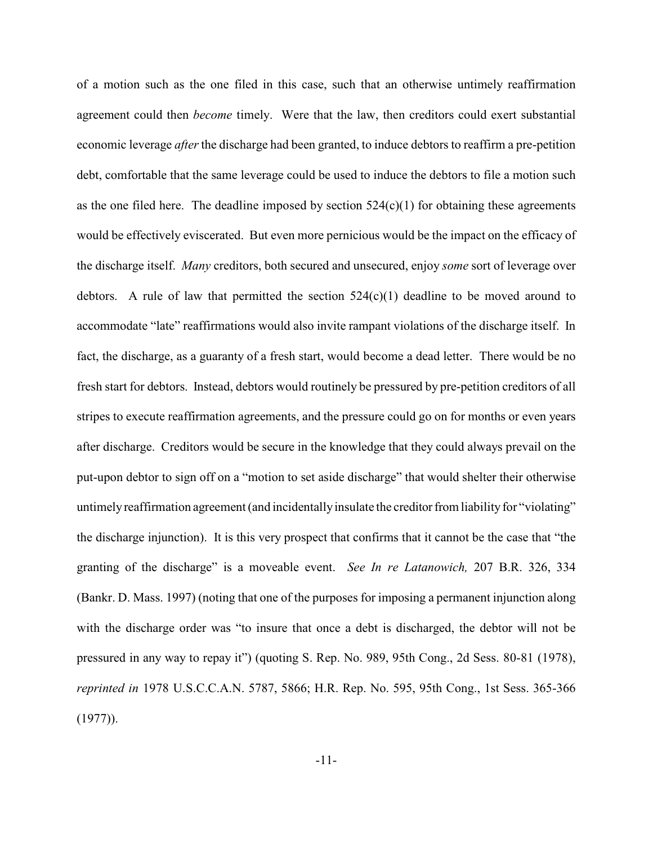of a motion such as the one filed in this case, such that an otherwise untimely reaffirmation agreement could then *become* timely. Were that the law, then creditors could exert substantial economic leverage *after*the discharge had been granted, to induce debtors to reaffirm a pre-petition debt, comfortable that the same leverage could be used to induce the debtors to file a motion such as the one filed here. The deadline imposed by section  $524(c)(1)$  for obtaining these agreements would be effectively eviscerated. But even more pernicious would be the impact on the efficacy of the discharge itself. *Many* creditors, both secured and unsecured, enjoy *some* sort of leverage over debtors. A rule of law that permitted the section  $524(c)(1)$  deadline to be moved around to accommodate "late" reaffirmations would also invite rampant violations of the discharge itself. In fact, the discharge, as a guaranty of a fresh start, would become a dead letter. There would be no fresh start for debtors. Instead, debtors would routinely be pressured by pre-petition creditors of all stripes to execute reaffirmation agreements, and the pressure could go on for months or even years after discharge. Creditors would be secure in the knowledge that they could always prevail on the put-upon debtor to sign off on a "motion to set aside discharge" that would shelter their otherwise untimely reaffirmation agreement (and incidentally insulate the creditor from liability for "violating" the discharge injunction). It is this very prospect that confirms that it cannot be the case that "the granting of the discharge" is a moveable event. *See In re Latanowich,* 207 B.R. 326, 334 (Bankr. D. Mass. 1997) (noting that one of the purposes for imposing a permanent injunction along with the discharge order was "to insure that once a debt is discharged, the debtor will not be pressured in any way to repay it") (quoting S. Rep. No. 989, 95th Cong., 2d Sess. 80-81 (1978), *reprinted in* 1978 U.S.C.C.A.N. 5787, 5866; H.R. Rep. No. 595, 95th Cong., 1st Sess. 365-366 (1977)).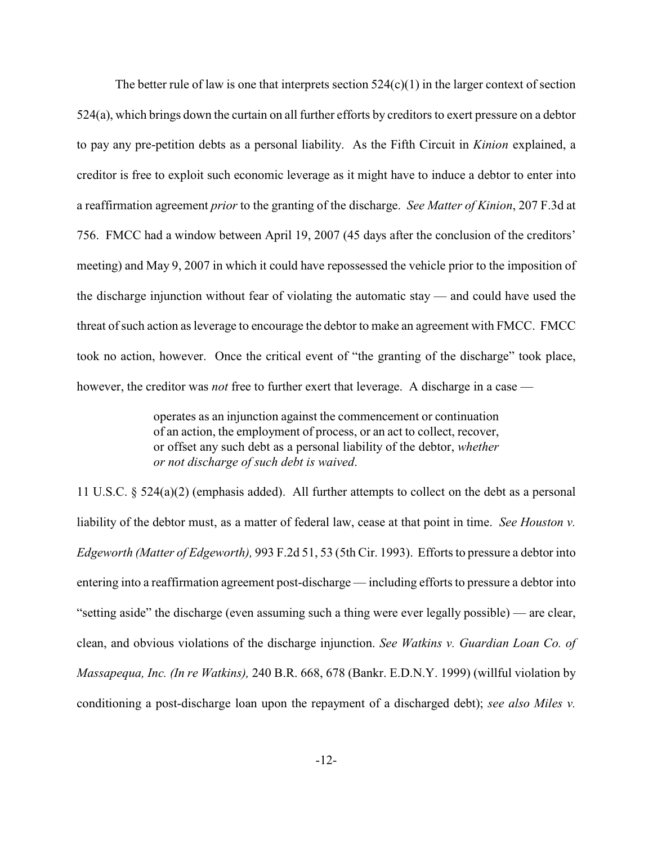The better rule of law is one that interprets section  $524(c)(1)$  in the larger context of section 524(a), which brings down the curtain on all further efforts by creditors to exert pressure on a debtor to pay any pre-petition debts as a personal liability. As the Fifth Circuit in *Kinion* explained, a creditor is free to exploit such economic leverage as it might have to induce a debtor to enter into a reaffirmation agreement *prior* to the granting of the discharge. *See Matter of Kinion*, 207 F.3d at 756. FMCC had a window between April 19, 2007 (45 days after the conclusion of the creditors' meeting) and May 9, 2007 in which it could have repossessed the vehicle prior to the imposition of the discharge injunction without fear of violating the automatic stay — and could have used the threat of such action as leverage to encourage the debtor to make an agreement with FMCC. FMCC took no action, however. Once the critical event of "the granting of the discharge" took place, however, the creditor was *not* free to further exert that leverage. A discharge in a case —

> operates as an injunction against the commencement or continuation of an action, the employment of process, or an act to collect, recover, or offset any such debt as a personal liability of the debtor, *whether or not discharge of such debt is waived*.

11 U.S.C. § 524(a)(2) (emphasis added). All further attempts to collect on the debt as a personal liability of the debtor must, as a matter of federal law, cease at that point in time. *See Houston v. Edgeworth (Matter of Edgeworth),* 993 F.2d 51, 53 (5th Cir. 1993). Efforts to pressure a debtor into entering into a reaffirmation agreement post-discharge — including efforts to pressure a debtor into "setting aside" the discharge (even assuming such a thing were ever legally possible) — are clear, clean, and obvious violations of the discharge injunction. *See Watkins v. Guardian Loan Co. of Massapequa, Inc. (In re Watkins),* 240 B.R. 668, 678 (Bankr. E.D.N.Y. 1999) (willful violation by conditioning a post-discharge loan upon the repayment of a discharged debt); *see also Miles v.*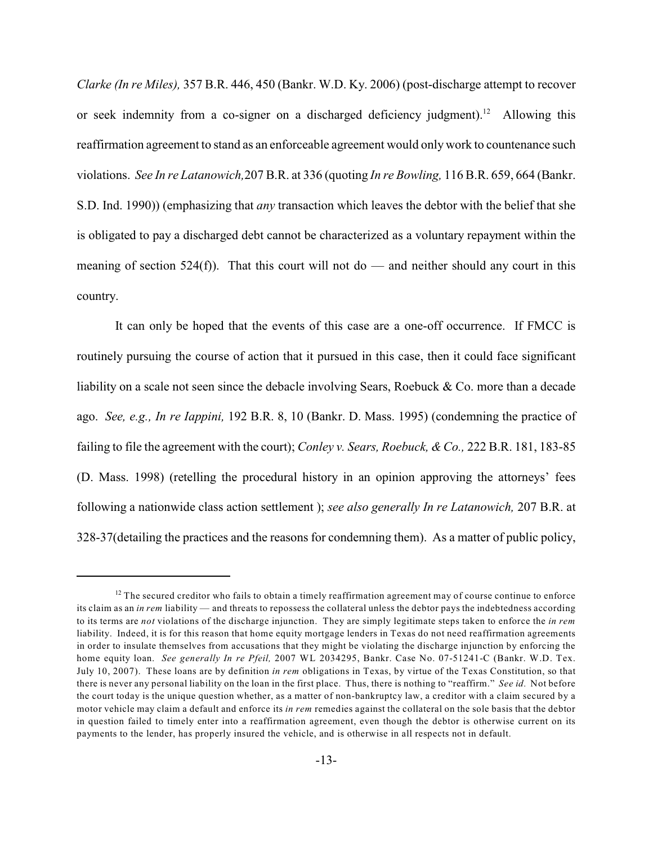*Clarke (In re Miles),* 357 B.R. 446, 450 (Bankr. W.D. Ky. 2006) (post-discharge attempt to recover or seek indemnity from a co-signer on a discharged deficiency judgment).<sup>12</sup> Allowing this reaffirmation agreement to stand as an enforceable agreement would only work to countenance such violations. *See In re Latanowich,*207 B.R. at 336 (quoting *In re Bowling,* 116 B.R. 659, 664 (Bankr. S.D. Ind. 1990)) (emphasizing that *any* transaction which leaves the debtor with the belief that she is obligated to pay a discharged debt cannot be characterized as a voluntary repayment within the meaning of section 524(f)). That this court will not do — and neither should any court in this country.

It can only be hoped that the events of this case are a one-off occurrence. If FMCC is routinely pursuing the course of action that it pursued in this case, then it could face significant liability on a scale not seen since the debacle involving Sears, Roebuck & Co. more than a decade ago. *See, e.g., In re Iappini,* 192 B.R. 8, 10 (Bankr. D. Mass. 1995) (condemning the practice of failing to file the agreement with the court); *Conley v. Sears, Roebuck, & Co.,* 222 B.R. 181, 183-85 (D. Mass. 1998) (retelling the procedural history in an opinion approving the attorneys' fees following a nationwide class action settlement ); *see also generally In re Latanowich,* 207 B.R. at 328-37(detailing the practices and the reasons for condemning them). As a matter of public policy,

 $12$  The secured creditor who fails to obtain a timely reaffirmation agreement may of course continue to enforce its claim as an *in rem* liability — and threats to repossess the collateral unless the debtor pays the indebtedness according to its terms are *not* violations of the discharge injunction. They are simply legitimate steps taken to enforce the *in rem* liability. Indeed, it is for this reason that home equity mortgage lenders in Texas do not need reaffirmation agreements in order to insulate themselves from accusations that they might be violating the discharge injunction by enforcing the home equity loan. *See generally In re Pfeil,* 2007 WL 2034295, Bankr. Case No. 07-51241-C (Bankr. W.D. Tex. July 10, 2007). These loans are by definition *in rem* obligations in Texas, by virtue of the Texas Constitution, so that there is never any personal liability on the loan in the first place. Thus, there is nothing to "reaffirm." *See id.* Not before the court today is the unique question whether, as a matter of non-bankruptcy law, a creditor with a claim secured by a motor vehicle may claim a default and enforce its *in rem* remedies against the collateral on the sole basis that the debtor in question failed to timely enter into a reaffirmation agreement, even though the debtor is otherwise current on its payments to the lender, has properly insured the vehicle, and is otherwise in all respects not in default.